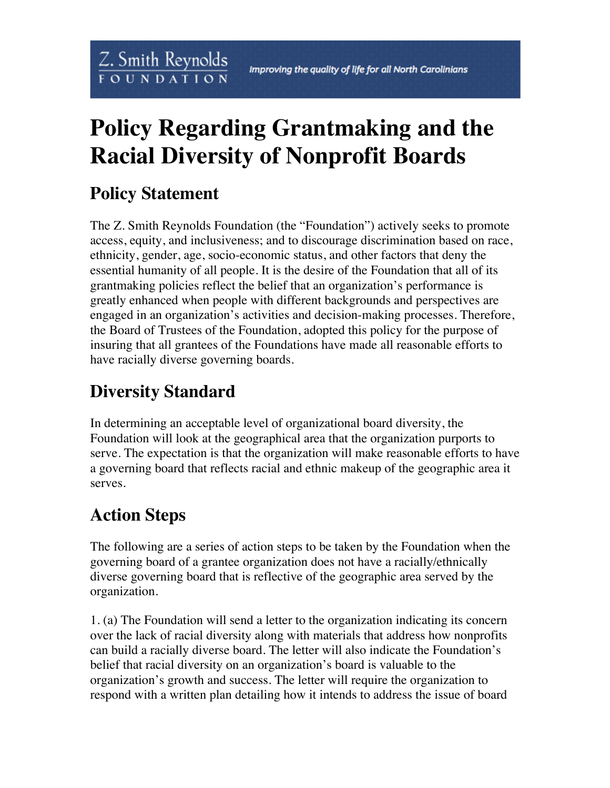## **Policy Regarding Grantmaking and the Racial Diversity of Nonprofit Boards**

## **Policy Statement**

Z. Smith Reynolds

**FOUNDATION** 

The Z. Smith Reynolds Foundation (the "Foundation") actively seeks to promote access, equity, and inclusiveness; and to discourage discrimination based on race, ethnicity, gender, age, socio-economic status, and other factors that deny the essential humanity of all people. It is the desire of the Foundation that all of its grantmaking policies reflect the belief that an organization's performance is greatly enhanced when people with different backgrounds and perspectives are engaged in an organization's activities and decision-making processes. Therefore, the Board of Trustees of the Foundation, adopted this policy for the purpose of insuring that all grantees of the Foundations have made all reasonable efforts to have racially diverse governing boards.

## **Diversity Standard**

In determining an acceptable level of organizational board diversity, the Foundation will look at the geographical area that the organization purports to serve. The expectation is that the organization will make reasonable efforts to have a governing board that reflects racial and ethnic makeup of the geographic area it serves.

## **Action Steps**

The following are a series of action steps to be taken by the Foundation when the governing board of a grantee organization does not have a racially/ethnically diverse governing board that is reflective of the geographic area served by the organization.

1. (a) The Foundation will send a letter to the organization indicating its concern over the lack of racial diversity along with materials that address how nonprofits can build a racially diverse board. The letter will also indicate the Foundation's belief that racial diversity on an organization's board is valuable to the organization's growth and success. The letter will require the organization to respond with a written plan detailing how it intends to address the issue of board